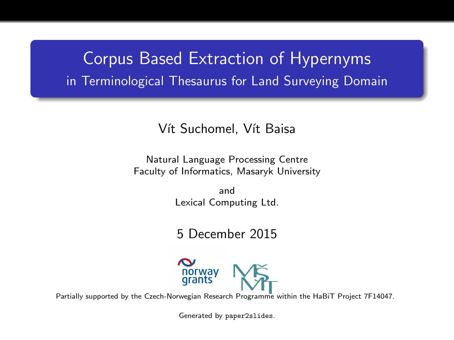## Corpus Based Extraction of Hypernyms in Terminological Thesaurus for Land Surveying Domain

#### Vít Suchomel, Vít Baisa

Natural Language Processing Centre Faculty of Informatics, Masaryk University

> and Lexical Computing Ltd.

5 December 2015



Partially supported by the Czech-Norwegian Research Programme within the HaBiT Project 7F14047.

Generated by paper2slides.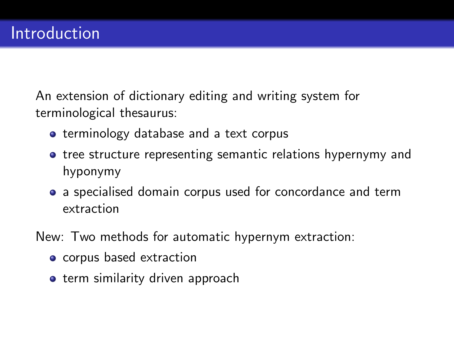An extension of dictionary editing and writing system for terminological thesaurus:

- **•** terminology database and a text corpus
- **•** tree structure representing semantic relations hypernymy and hyponymy
- a specialised domain corpus used for concordance and term extraction
- New: Two methods for automatic hypernym extraction:
	- corpus based extraction
	- **•** term similarity driven approach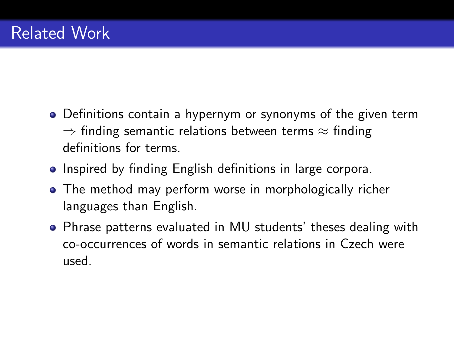- Definitions contain a hypernym or synonyms of the given term  $\Rightarrow$  finding semantic relations between terms  $\approx$  finding definitions for terms.
- Inspired by finding English definitions in large corpora.
- The method may perform worse in morphologically richer languages than English.
- Phrase patterns evaluated in MU students' theses dealing with co-occurrences of words in semantic relations in Czech were used.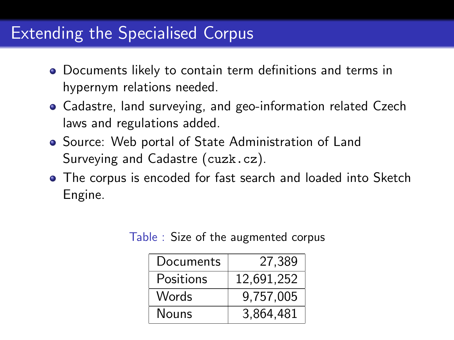## Extending the Specialised Corpus

- Documents likely to contain term definitions and terms in hypernym relations needed.
- Cadastre, land surveying, and geo-information related Czech laws and regulations added.
- **Source: Web portal of State Administration of Land** Surveying and Cadastre (cuzk.cz).
- The corpus is encoded for fast search and loaded into Sketch Engine.

| Documents | 27,389     |
|-----------|------------|
| Positions | 12,691,252 |
| Words     | 9,757,005  |
| Nouns     | 3,864,481  |

Table : Size of the augmented corpus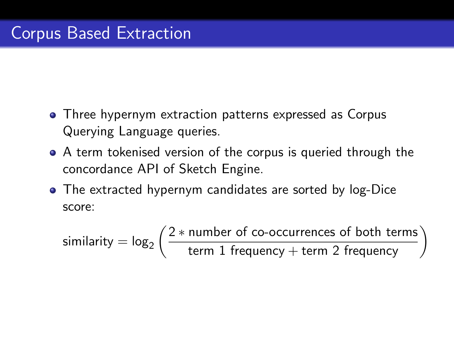- Three hypernym extraction patterns expressed as Corpus Querying Language queries.
- A term tokenised version of the corpus is queried through the concordance API of Sketch Engine.
- The extracted hypernym candidates are sorted by log-Dice score:

 $\textsf{similarity} = \log_2\left(\frac{2*\textsf{number of co-occurrences of both terms}}{\textsf{term 1 frequency}+\textsf{term 2 frequency}}\right)$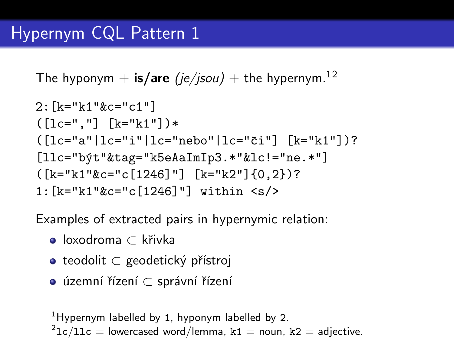The hyponym + is/are (je/jsou) + the hypernym.<sup>12</sup>

```
2:[k="k1"&c="c1"]
([lc="."'] [k="k1"]*
( [lc="a"]lc="i"]|lc="nebo"]lc="či"] [k="k1"]?
[11c="b\text{y}t"ktag="k5eAaImIp3.*"k1c!="ne.*"]([k="k1"&c="c[1246]"] [k="k2"]{0,2})?
1:[k="k1"&c="c[1246]"] within <s/>
```
Examples of extracted pairs in hypernymic relation:

- loxodroma ⊂ kˇrivka
- teodolit ⊂ geodetický přístroj
- územní řízení ⊂ správní řízení

<sup>&</sup>lt;sup>1</sup>Hypernym labelled by 1, hyponym labelled by 2.

 $\rm ^21c/11c$   $=$  lowercased word/lemma, k1  $=$  noun, k2  $=$  adjective.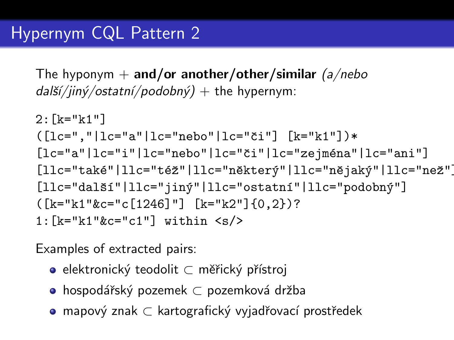The hyponym  $+$  and/or another/other/similar (a/nebo  $dal\zeta/\sin\zeta/ostat\pi\zeta/podob\pi\zeta) +$  the hypernym:

2:[k="k1"] ([lc=","|lc="a"|lc="nebo"|lc="ˇci"] [k="k1"])\* [lc="a"|lc="i"|lc="nebo"|lc="ˇci"|lc="zejm´ena"|lc="ani"] [llc="tak´e"|llc="t´eˇz"|llc="nˇekter´y"|llc="nˇejak´y"|llc="neˇz"]? [llc="dalˇs´ı"|llc="jin´y"|llc="ostatn´ı"|llc="podobn´y"] ([k="k1"&c="c[1246]"] [k="k2"]{0,2})? 1:[k="k1"&c="c1"] within <s/>

Examples of extracted pairs:

- elektronický teodolit ⊂ měřický přístroj
- hospodářský pozemek ⊂ pozemková držba
- mapový znak ⊂ kartografický vyjadřovací prostředek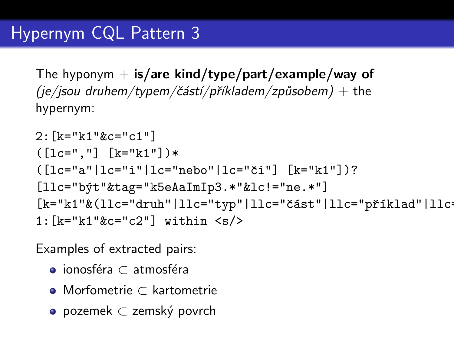The hyponym  $+$  is/are kind/type/part/example/way of  $(je/jsou druhem/typem/částí/příkladem/způsobem) + the$ hypernym:

```
2:[k="k1"&c="c1"]
([lc="."'] [k="k1"]*
([lc="a"|lc="i"|lc="nebo"|lc="či"] [k="k1"])?
[llc="b´yt"&tag="k5eAaImIp3.*"&lc!="ne.*"]
[k="k1"k(11c="druh"|11c="typ"|11c="část"|11c="příklad"|11c"1:[k="kl"&c="c2"] within \langle s/
```
Examples of extracted pairs:

- $\bullet$  ionosféra ⊂ atmosféra
- Morfometrie ⊂ kartometrie
- pozemek ⊂ zemský povrch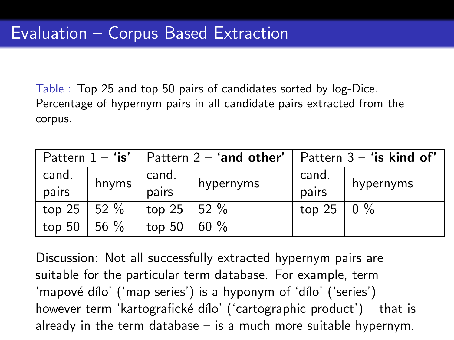Table : Top 25 and top 50 pairs of candidates sorted by log-Dice. Percentage of hypernym pairs in all candidate pairs extracted from the corpus.

|                |        | Pattern $1 -$ 'is'   Pattern $2 -$ 'and other' |           | Pattern $3 -$ 'is kind of' |           |
|----------------|--------|------------------------------------------------|-----------|----------------------------|-----------|
| cand.<br>pairs | hnyms  | cand.<br>pairs                                 | hypernyms | cand.<br>pairs             | hypernyms |
| top 25         | 152%   | top 25   52 $%$                                |           | top 25   0 $%$             |           |
| top 50         | 56 $%$ | top 50                                         | $60 \%$   |                            |           |

Discussion: Not all successfully extracted hypernym pairs are suitable for the particular term database. For example, term 'mapové dílo' ('map series') is a hyponym of 'dílo' ('series') however term 'kartografické dílo' ('cartographic product') – that is already in the term database – is a much more suitable hypernym.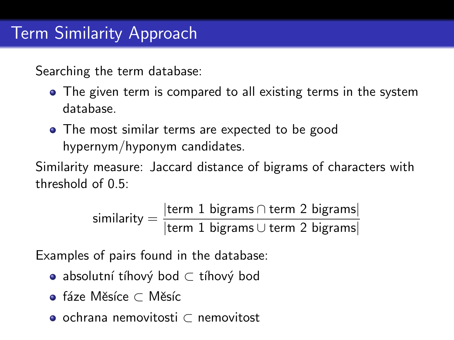Searching the term database:

- The given term is compared to all existing terms in the system database.
- The most similar terms are expected to be good hypernym/hyponym candidates.

Similarity measure: Jaccard distance of bigrams of characters with threshold of 0.5:

$$
similarity = \frac{|\text{term 1 bigrams} \cap \text{term 2 bigrams}|}{|\text{term 1 bigrams} \cup \text{term 2 bigrams}|}
$$

Examples of pairs found in the database:

- absolutní tíhový bod ⊂ tíhový bod
- e fáze Měsíce ⊂ Měsíc
- ochrana nemovitosti ⊂ nemovitost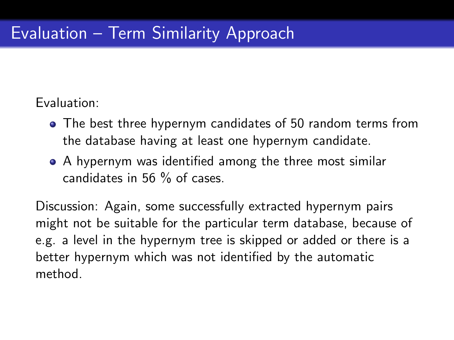### Evaluation:

- The best three hypernym candidates of 50 random terms from the database having at least one hypernym candidate.
- A hypernym was identified among the three most similar candidates in 56 % of cases.

Discussion: Again, some successfully extracted hypernym pairs might not be suitable for the particular term database, because of e.g. a level in the hypernym tree is skipped or added or there is a better hypernym which was not identified by the automatic method.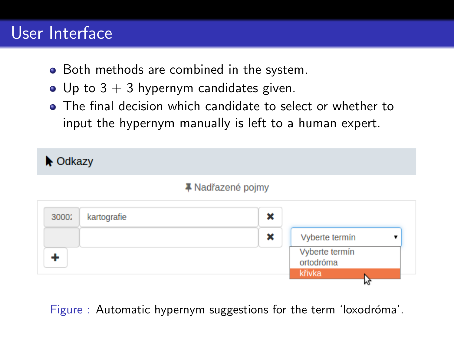## User Interface

- Both methods are combined in the system.
- Up to  $3 + 3$  hypernym candidates given.
- The final decision which candidate to select or whether to input the hypernym manually is left to a human expert.



Figure : Automatic hypernym suggestions for the term 'loxodróma'.